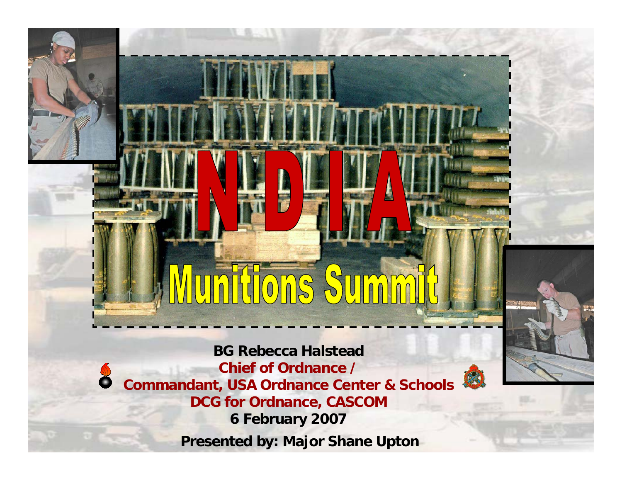# $\sqrt{0}$  0 0  $\sqrt{0}$

**BG Rebecca Halstead Chief of Ordnance / Commandant, USA Ordnance Center & Schools DCG for Ordnance, CASCOM 6 February 2007 Presented by: Major Shane Upton**

8

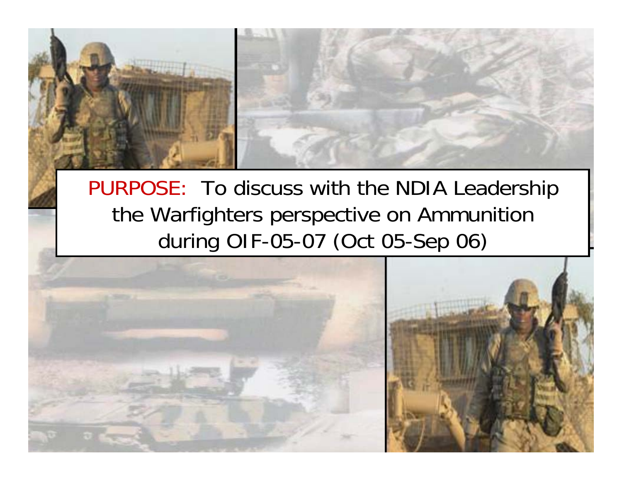

PURPOSE: To discuss with the NDIA Leadership the Warfighters perspective on Ammunition during OIF-05-07 (Oct 05-Sep 06)

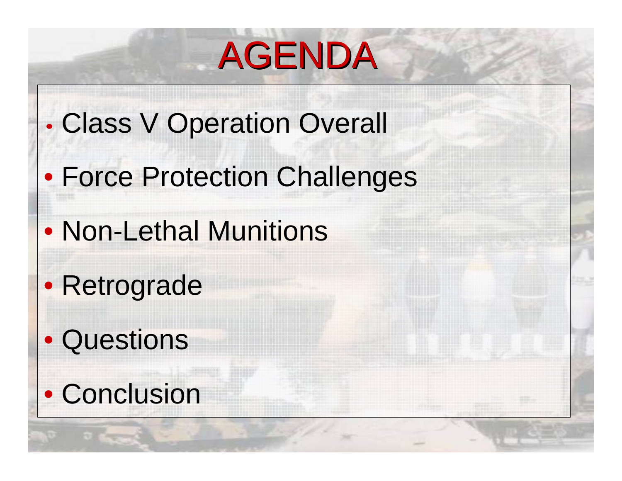## AGENDA

- Class V Operation Overall
- Force Protection Challenges
- Non-Lethal Munitions
- Retrograde

•

- Questions
- Conclusion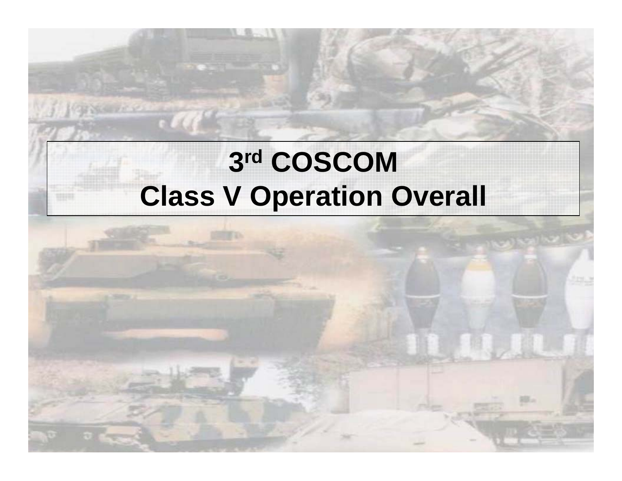## **3r<sup>d</sup> COSCOM Class V Operation Overall**

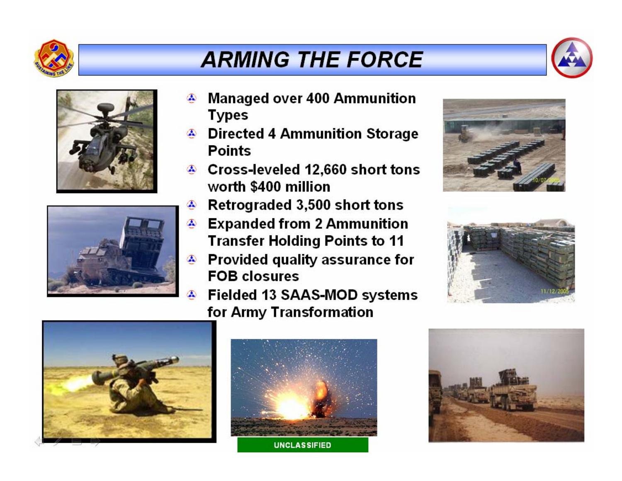

### **ARMING THE FORCE**







- **Managed over 400 Ammunition**  $\boldsymbol{\Lambda}$ **Types**
- <sup>2</sup> Directed 4 Ammunition Storage **Points**
- ♦ Cross-leveled 12,660 short tons worth \$400 million
- Retrograded 3,500 short tons  $\bullet$
- ⊕ Expanded from 2 Ammunition **Transfer Holding Points to 11**
- Provided quality assurance for  $\bullet$ **FOB closures** 
	- Fielded 13 SAAS-MOD systems for Army Transformation









**UNCLASSIFIED** 

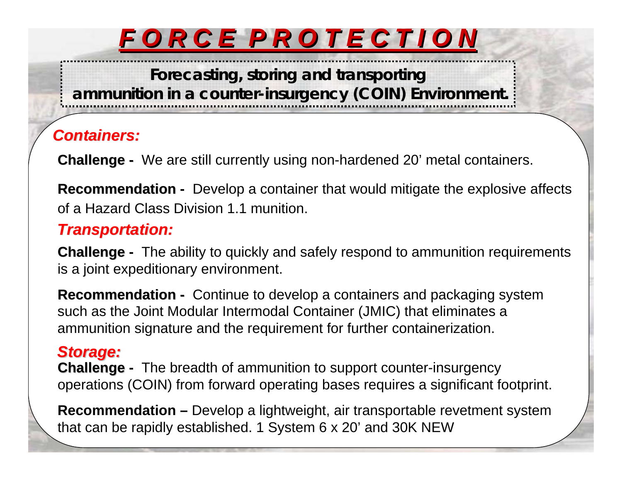## *FORCEPROTECTION*

**Forecasting, storing and transporting**

**ammunition in a counter-insurgency (COIN) Environment.**

#### *Containers: Containers:*

**Challenge -** We are still currently using non-hardened 20' metal containers.

**Recommendation** - Develop a container that would mitigate the explosive affects of a Hazard Class Division 1.1 munition.

#### *Transportation: Transportation:*

**Challenge - Challenge** The ability to quickly and safely respond to ammunition requirements is a joint expeditionary environment.

**Recommendation -** Continue to develop a containers and packaging system such as the Joint Modular Intermodal Container (JMIC) that eliminates a ammunition signature and the requirement for further containerization.

#### *Storage: Storage:*

**Challenge -** The breadth of ammunition to support counter-insurgency operations (COIN) from forward operating bases requires a significant footprint.

**Recommendation –** Develop a lightweight, air transportable revetment system that can be rapidly established. 1 System 6 x 20' and 30K NEW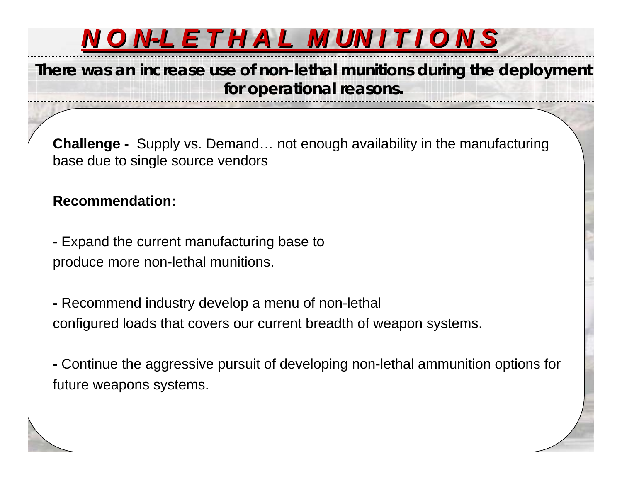

**There was an increase use of non-lethal munitions during the deployment for operational reasons.**

**Challenge -** Supply vs. Demand... not enough availability in the manufacturing base due to single source vendors

#### **Recommendation: Recommendation**

**-** Expand the current manufacturing base to produce more non-lethal munitions.

**-** Recommend industry develop a menu of non-lethal configured loads that covers our current breadth of weapon systems.

**-** Continue the aggressive pursuit of developing non-lethal ammunition options for future weapons systems.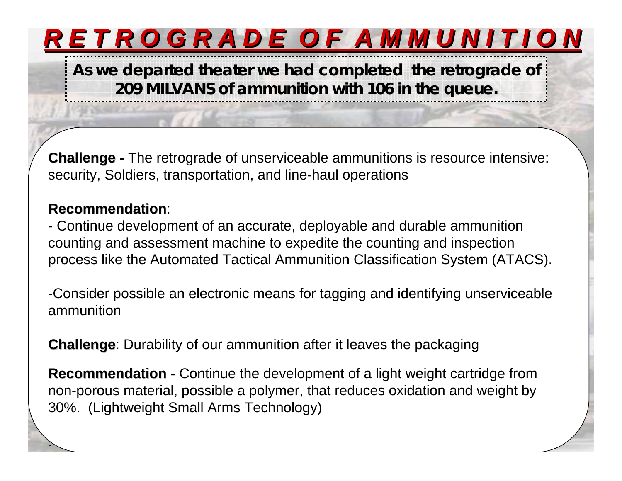## RETROGRADE OF AMMUNITION

**As we departed theater we had completed the retrograde of 209 MILVANS of ammunition with 106 in the queue.**

**Challenge -** The retrograde of unserviceable ammunitions is resource intensive: security, Soldiers, transportation, and line-haul operations

#### **Recommendation Recommendation**:

.

- Continue development of an accurate, deployable and durable ammunition counting and assessment machine to expedite the counting and inspection process like the Automated Tactical Ammunition Classification System (ATACS).

-Consider possible an electronic means for tagging and identifying unserviceable ammunition

**Challenge:** Durability of our ammunition after it leaves the packaging

**Recommendation** - Continue the development of a light weight cartridge from non-porous material, possible a polymer, that reduces oxidation and weight by 30%. (Lightweight Small Arms Technology)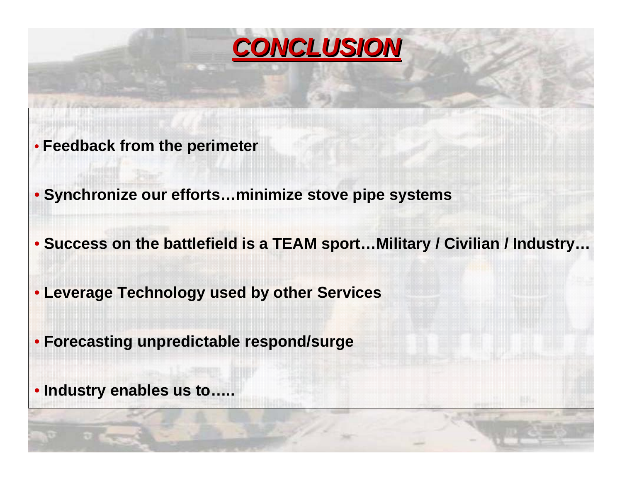

- **Feedback from the perimeter**
- **Synchronize our efforts…minimize stove pipe systems**
- **Success on the battlefield is a TEAM sport…Military / Civilian / Industry…**
- **Leverage Technology used by other Services**
- **Forecasting unpredictable respond/surge**

• **Industry enables us to…..**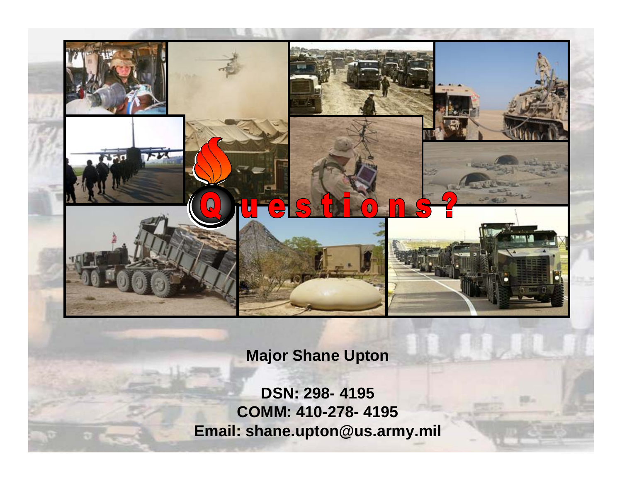

#### **Major Shane Upton**

**DSN: 298- 4195 COMM: 410-278- 4195 Email: shane.upton@us.army.mil**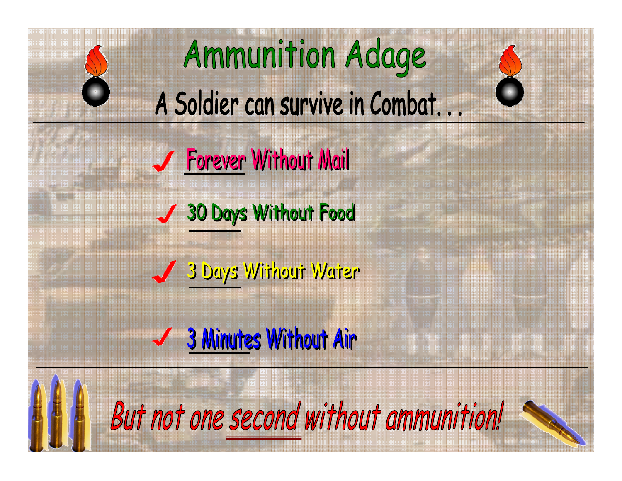